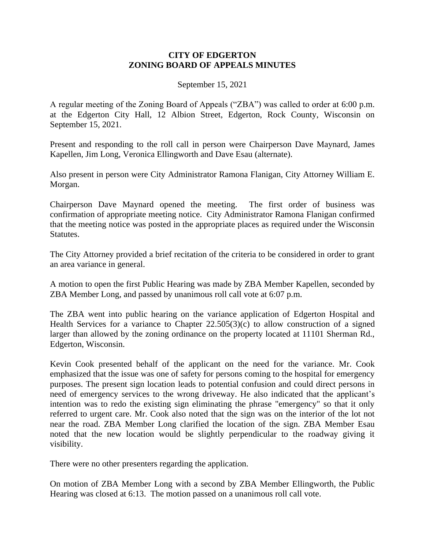## **CITY OF EDGERTON ZONING BOARD OF APPEALS MINUTES**

September 15, 2021

A regular meeting of the Zoning Board of Appeals ("ZBA") was called to order at 6:00 p.m. at the Edgerton City Hall, 12 Albion Street, Edgerton, Rock County, Wisconsin on September 15, 2021.

Present and responding to the roll call in person were Chairperson Dave Maynard, James Kapellen, Jim Long, Veronica Ellingworth and Dave Esau (alternate).

Also present in person were City Administrator Ramona Flanigan, City Attorney William E. Morgan.

Chairperson Dave Maynard opened the meeting. The first order of business was confirmation of appropriate meeting notice. City Administrator Ramona Flanigan confirmed that the meeting notice was posted in the appropriate places as required under the Wisconsin Statutes.

The City Attorney provided a brief recitation of the criteria to be considered in order to grant an area variance in general.

A motion to open the first Public Hearing was made by ZBA Member Kapellen, seconded by ZBA Member Long, and passed by unanimous roll call vote at 6:07 p.m.

The ZBA went into public hearing on the variance application of Edgerton Hospital and Health Services for a variance to Chapter  $22.505(3)(c)$  to allow construction of a signed larger than allowed by the zoning ordinance on the property located at 11101 Sherman Rd., Edgerton, Wisconsin.

Kevin Cook presented behalf of the applicant on the need for the variance. Mr. Cook emphasized that the issue was one of safety for persons coming to the hospital for emergency purposes. The present sign location leads to potential confusion and could direct persons in need of emergency services to the wrong driveway. He also indicated that the applicant's intention was to redo the existing sign eliminating the phrase "emergency" so that it only referred to urgent care. Mr. Cook also noted that the sign was on the interior of the lot not near the road. ZBA Member Long clarified the location of the sign. ZBA Member Esau noted that the new location would be slightly perpendicular to the roadway giving it visibility.

There were no other presenters regarding the application.

On motion of ZBA Member Long with a second by ZBA Member Ellingworth, the Public Hearing was closed at 6:13. The motion passed on a unanimous roll call vote.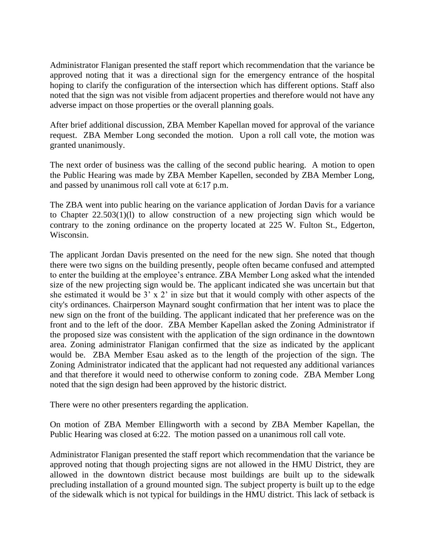Administrator Flanigan presented the staff report which recommendation that the variance be approved noting that it was a directional sign for the emergency entrance of the hospital hoping to clarify the configuration of the intersection which has different options. Staff also noted that the sign was not visible from adjacent properties and therefore would not have any adverse impact on those properties or the overall planning goals.

After brief additional discussion, ZBA Member Kapellan moved for approval of the variance request. ZBA Member Long seconded the motion. Upon a roll call vote, the motion was granted unanimously.

The next order of business was the calling of the second public hearing. A motion to open the Public Hearing was made by ZBA Member Kapellen, seconded by ZBA Member Long, and passed by unanimous roll call vote at 6:17 p.m.

The ZBA went into public hearing on the variance application of Jordan Davis for a variance to Chapter 22.503(1)(l) to allow construction of a new projecting sign which would be contrary to the zoning ordinance on the property located at 225 W. Fulton St., Edgerton, Wisconsin.

The applicant Jordan Davis presented on the need for the new sign. She noted that though there were two signs on the building presently, people often became confused and attempted to enter the building at the employee's entrance. ZBA Member Long asked what the intended size of the new projecting sign would be. The applicant indicated she was uncertain but that she estimated it would be 3' x 2' in size but that it would comply with other aspects of the city's ordinances. Chairperson Maynard sought confirmation that her intent was to place the new sign on the front of the building. The applicant indicated that her preference was on the front and to the left of the door. ZBA Member Kapellan asked the Zoning Administrator if the proposed size was consistent with the application of the sign ordinance in the downtown area. Zoning administrator Flanigan confirmed that the size as indicated by the applicant would be. ZBA Member Esau asked as to the length of the projection of the sign. The Zoning Administrator indicated that the applicant had not requested any additional variances and that therefore it would need to otherwise conform to zoning code. ZBA Member Long noted that the sign design had been approved by the historic district.

There were no other presenters regarding the application.

On motion of ZBA Member Ellingworth with a second by ZBA Member Kapellan, the Public Hearing was closed at 6:22. The motion passed on a unanimous roll call vote.

Administrator Flanigan presented the staff report which recommendation that the variance be approved noting that though projecting signs are not allowed in the HMU District, they are allowed in the downtown district because most buildings are built up to the sidewalk precluding installation of a ground mounted sign. The subject property is built up to the edge of the sidewalk which is not typical for buildings in the HMU district. This lack of setback is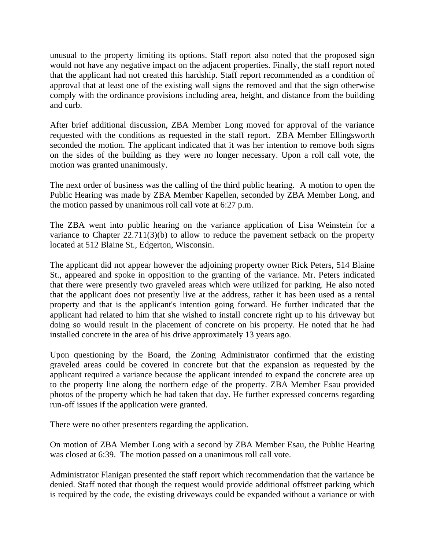unusual to the property limiting its options. Staff report also noted that the proposed sign would not have any negative impact on the adjacent properties. Finally, the staff report noted that the applicant had not created this hardship. Staff report recommended as a condition of approval that at least one of the existing wall signs the removed and that the sign otherwise comply with the ordinance provisions including area, height, and distance from the building and curb.

After brief additional discussion, ZBA Member Long moved for approval of the variance requested with the conditions as requested in the staff report. ZBA Member Ellingsworth seconded the motion. The applicant indicated that it was her intention to remove both signs on the sides of the building as they were no longer necessary. Upon a roll call vote, the motion was granted unanimously.

The next order of business was the calling of the third public hearing. A motion to open the Public Hearing was made by ZBA Member Kapellen, seconded by ZBA Member Long, and the motion passed by unanimous roll call vote at 6:27 p.m.

The ZBA went into public hearing on the variance application of Lisa Weinstein for a variance to Chapter 22.711(3)(b) to allow to reduce the pavement setback on the property located at 512 Blaine St., Edgerton, Wisconsin.

The applicant did not appear however the adjoining property owner Rick Peters, 514 Blaine St., appeared and spoke in opposition to the granting of the variance. Mr. Peters indicated that there were presently two graveled areas which were utilized for parking. He also noted that the applicant does not presently live at the address, rather it has been used as a rental property and that is the applicant's intention going forward. He further indicated that the applicant had related to him that she wished to install concrete right up to his driveway but doing so would result in the placement of concrete on his property. He noted that he had installed concrete in the area of his drive approximately 13 years ago.

Upon questioning by the Board, the Zoning Administrator confirmed that the existing graveled areas could be covered in concrete but that the expansion as requested by the applicant required a variance because the applicant intended to expand the concrete area up to the property line along the northern edge of the property. ZBA Member Esau provided photos of the property which he had taken that day. He further expressed concerns regarding run-off issues if the application were granted.

There were no other presenters regarding the application.

On motion of ZBA Member Long with a second by ZBA Member Esau, the Public Hearing was closed at 6:39. The motion passed on a unanimous roll call vote.

Administrator Flanigan presented the staff report which recommendation that the variance be denied. Staff noted that though the request would provide additional offstreet parking which is required by the code, the existing driveways could be expanded without a variance or with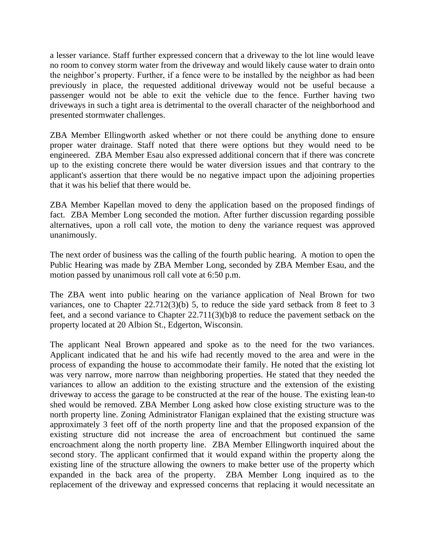a lesser variance. Staff further expressed concern that a driveway to the lot line would leave no room to convey storm water from the driveway and would likely cause water to drain onto the neighbor's property. Further, if a fence were to be installed by the neighbor as had been previously in place, the requested additional driveway would not be useful because a passenger would not be able to exit the vehicle due to the fence. Further having two driveways in such a tight area is detrimental to the overall character of the neighborhood and presented stormwater challenges.

ZBA Member Ellingworth asked whether or not there could be anything done to ensure proper water drainage. Staff noted that there were options but they would need to be engineered. ZBA Member Esau also expressed additional concern that if there was concrete up to the existing concrete there would be water diversion issues and that contrary to the applicant's assertion that there would be no negative impact upon the adjoining properties that it was his belief that there would be.

ZBA Member Kapellan moved to deny the application based on the proposed findings of fact. ZBA Member Long seconded the motion. After further discussion regarding possible alternatives, upon a roll call vote, the motion to deny the variance request was approved unanimously.

The next order of business was the calling of the fourth public hearing. A motion to open the Public Hearing was made by ZBA Member Long, seconded by ZBA Member Esau, and the motion passed by unanimous roll call vote at 6:50 p.m.

The ZBA went into public hearing on the variance application of Neal Brown for two variances, one to Chapter 22.712(3)(b) 5, to reduce the side yard setback from 8 feet to 3 feet, and a second variance to Chapter 22.711(3)(b)8 to reduce the pavement setback on the property located at 20 Albion St., Edgerton, Wisconsin.

The applicant Neal Brown appeared and spoke as to the need for the two variances. Applicant indicated that he and his wife had recently moved to the area and were in the process of expanding the house to accommodate their family. He noted that the existing lot was very narrow, more narrow than neighboring properties. He stated that they needed the variances to allow an addition to the existing structure and the extension of the existing driveway to access the garage to be constructed at the rear of the house. The existing lean-to shed would be removed. ZBA Member Long asked how close existing structure was to the north property line. Zoning Administrator Flanigan explained that the existing structure was approximately 3 feet off of the north property line and that the proposed expansion of the existing structure did not increase the area of encroachment but continued the same encroachment along the north property line. ZBA Member Ellingworth inquired about the second story. The applicant confirmed that it would expand within the property along the existing line of the structure allowing the owners to make better use of the property which expanded in the back area of the property. ZBA Member Long inquired as to the replacement of the driveway and expressed concerns that replacing it would necessitate an